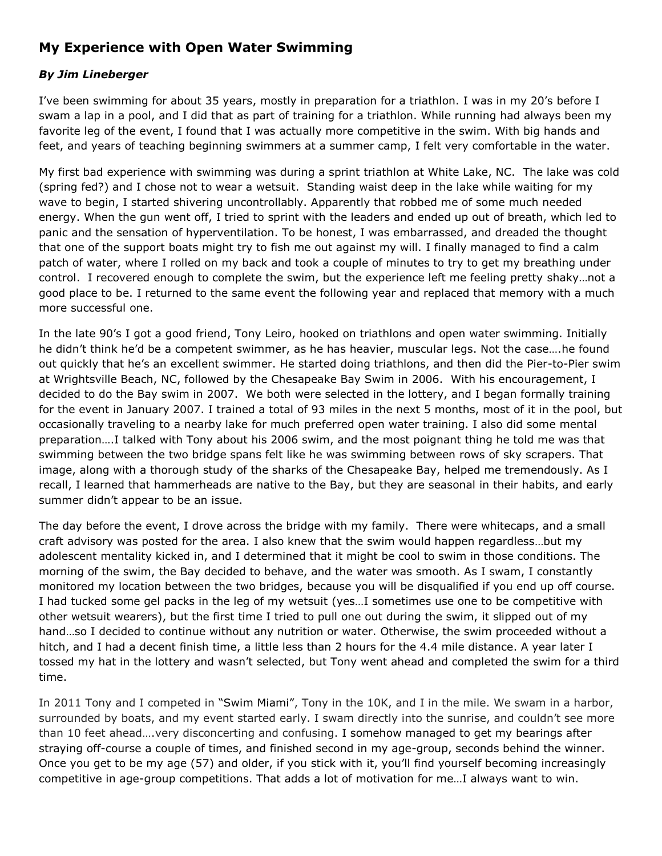## **My Experience with Open Water Swimming**

## *By Jim Lineberger*

I've been swimming for about 35 years, mostly in preparation for a triathlon. I was in my 20's before I swam a lap in a pool, and I did that as part of training for a triathlon. While running had always been my favorite leg of the event, I found that I was actually more competitive in the swim. With big hands and feet, and years of teaching beginning swimmers at a summer camp, I felt very comfortable in the water.

My first bad experience with swimming was during a sprint triathlon at White Lake, NC. The lake was cold (spring fed?) and I chose not to wear a wetsuit. Standing waist deep in the lake while waiting for my wave to begin, I started shivering uncontrollably. Apparently that robbed me of some much needed energy. When the gun went off, I tried to sprint with the leaders and ended up out of breath, which led to panic and the sensation of hyperventilation. To be honest, I was embarrassed, and dreaded the thought that one of the support boats might try to fish me out against my will. I finally managed to find a calm patch of water, where I rolled on my back and took a couple of minutes to try to get my breathing under control. I recovered enough to complete the swim, but the experience left me feeling pretty shaky…not a good place to be. I returned to the same event the following year and replaced that memory with a much more successful one.

In the late 90's I got a good friend, Tony Leiro, hooked on triathlons and open water swimming. Initially he didn't think he'd be a competent swimmer, as he has heavier, muscular legs. Not the case….he found out quickly that he's an excellent swimmer. He started doing triathlons, and then did the Pier-to-Pier swim at Wrightsville Beach, NC, followed by the Chesapeake Bay Swim in 2006. With his encouragement, I decided to do the Bay swim in 2007. We both were selected in the lottery, and I began formally training for the event in January 2007. I trained a total of 93 miles in the next 5 months, most of it in the pool, but occasionally traveling to a nearby lake for much preferred open water training. I also did some mental preparation….I talked with Tony about his 2006 swim, and the most poignant thing he told me was that swimming between the two bridge spans felt like he was swimming between rows of sky scrapers. That image, along with a thorough study of the sharks of the Chesapeake Bay, helped me tremendously. As I recall, I learned that hammerheads are native to the Bay, but they are seasonal in their habits, and early summer didn't appear to be an issue.

The day before the event, I drove across the bridge with my family. There were whitecaps, and a small craft advisory was posted for the area. I also knew that the swim would happen regardless…but my adolescent mentality kicked in, and I determined that it might be cool to swim in those conditions. The morning of the swim, the Bay decided to behave, and the water was smooth. As I swam, I constantly monitored my location between the two bridges, because you will be disqualified if you end up off course. I had tucked some gel packs in the leg of my wetsuit (yes…I sometimes use one to be competitive with other wetsuit wearers), but the first time I tried to pull one out during the swim, it slipped out of my hand…so I decided to continue without any nutrition or water. Otherwise, the swim proceeded without a hitch, and I had a decent finish time, a little less than 2 hours for the 4.4 mile distance. A year later I tossed my hat in the lottery and wasn't selected, but Tony went ahead and completed the swim for a third time.

In 2011 Tony and I competed in "Swim Miami", Tony in the 10K, and I in the mile. We swam in a harbor, surrounded by boats, and my event started early. I swam directly into the sunrise, and couldn't see more than 10 feet ahead….very disconcerting and confusing. I somehow managed to get my bearings after straying off-course a couple of times, and finished second in my age-group, seconds behind the winner. Once you get to be my age (57) and older, if you stick with it, you'll find yourself becoming increasingly competitive in age-group competitions. That adds a lot of motivation for me…I always want to win.